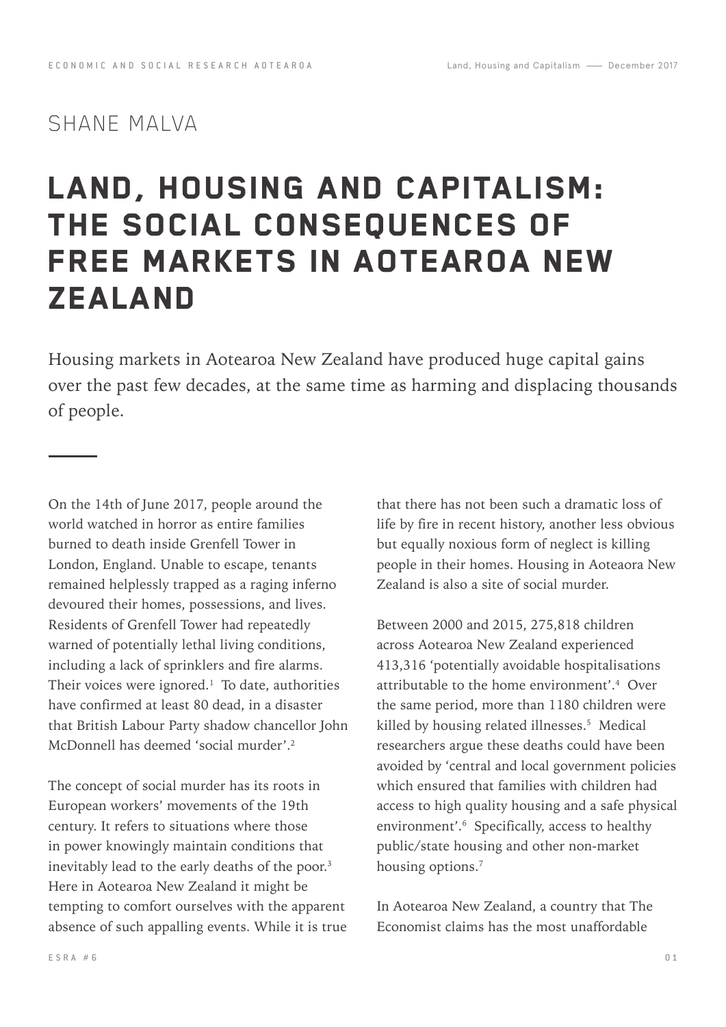# SHANE MALVA

# LAND, HOUSING AND CAPITALISM: THE SOCIAL CONSEQUENCES OF FREE MARKETS IN AOTEAROA NEW **ZEALAND**

Housing markets in Aotearoa New Zealand have produced huge capital gains over the past few decades, at the same time as harming and displacing thousands of people.

On the 14th of June 2017, people around the world watched in horror as entire families burned to death inside Grenfell Tower in London, England. Unable to escape, tenants remained helplessly trapped as a raging inferno devoured their homes, possessions, and lives. Residents of Grenfell Tower had repeatedly warned of potentially lethal living conditions, including a lack of sprinklers and fire alarms. Their voices were ignored. $\frac{1}{1}$  To date, authorities have confirmed at least 80 dead, in a disaster that British Labour Party shadow chancellor John McDonnell has deemed 'social murder'.<sup>2</sup>

The concept of social murder has its roots in European workers' movements of the 19th century. It refers to situations where those in power knowingly maintain conditions that inevitably lead to the early deaths of the poor.<sup>3</sup> Here in Aotearoa New Zealand it might be tempting to comfort ourselves with the apparent absence of such appalling events. While it is true

that there has not been such a dramatic loss of life by fire in recent history, another less obvious but equally noxious form of neglect is killing people in their homes. Housing in Aoteaora New Zealand is also a site of social murder.

Between 2000 and 2015, 275,818 children across Aotearoa New Zealand experienced 413,316 'potentially avoidable hospitalisations attributable to the home environment'.4 Over the same period, more than 1180 children were killed by housing related illnesses.<sup>5</sup> Medical researchers argue these deaths could have been avoided by 'central and local government policies which ensured that families with children had access to high quality housing and a safe physical environment'.<sup>6</sup> Specifically, access to healthy public/state housing and other non-market housing options.<sup>7</sup>

In Aotearoa New Zealand, a country that The Economist claims has the most unaffordable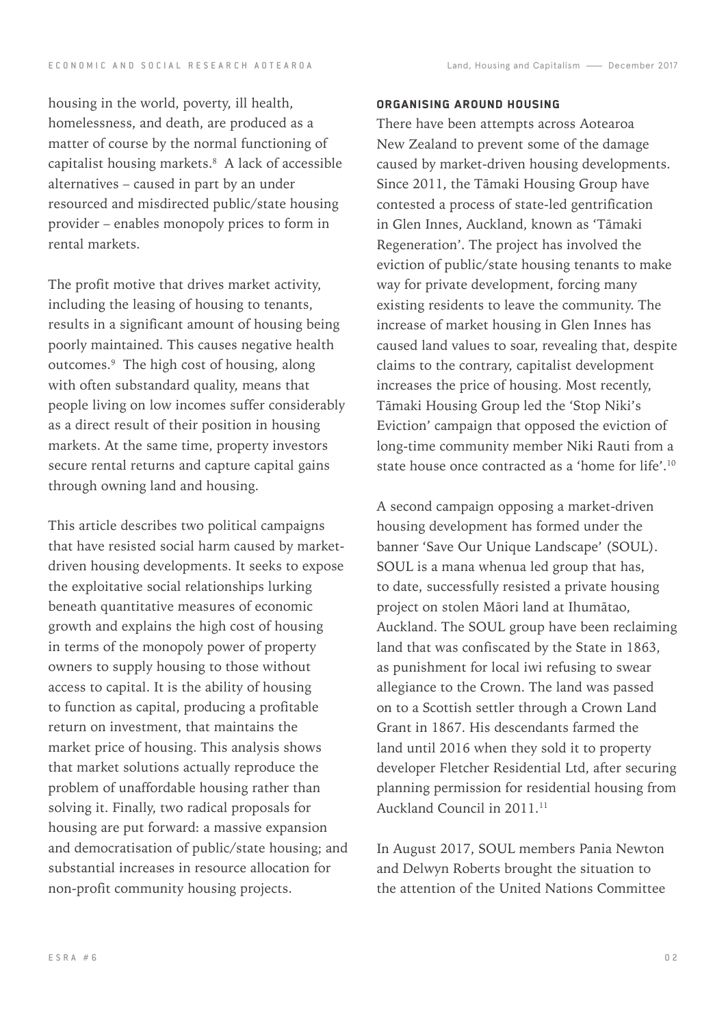housing in the world, poverty, ill health, homelessness, and death, are produced as a matter of course by the normal functioning of capitalist housing markets.8 A lack of accessible alternatives – caused in part by an under resourced and misdirected public/state housing provider – enables monopoly prices to form in rental markets.

The profit motive that drives market activity, including the leasing of housing to tenants, results in a significant amount of housing being poorly maintained. This causes negative health outcomes.9 The high cost of housing, along with often substandard quality, means that people living on low incomes suffer considerably as a direct result of their position in housing markets. At the same time, property investors secure rental returns and capture capital gains through owning land and housing.

This article describes two political campaigns that have resisted social harm caused by marketdriven housing developments. It seeks to expose the exploitative social relationships lurking beneath quantitative measures of economic growth and explains the high cost of housing in terms of the monopoly power of property owners to supply housing to those without access to capital. It is the ability of housing to function as capital, producing a profitable return on investment, that maintains the market price of housing. This analysis shows that market solutions actually reproduce the problem of unaffordable housing rather than solving it. Finally, two radical proposals for housing are put forward: a massive expansion and democratisation of public/state housing; and substantial increases in resource allocation for non-profit community housing projects.

### Organising around housing

There have been attempts across Aotearoa New Zealand to prevent some of the damage caused by market-driven housing developments. Since 2011, the Tāmaki Housing Group have contested a process of state-led gentrification in Glen Innes, Auckland, known as 'Tāmaki Regeneration'. The project has involved the eviction of public/state housing tenants to make way for private development, forcing many existing residents to leave the community. The increase of market housing in Glen Innes has caused land values to soar, revealing that, despite claims to the contrary, capitalist development increases the price of housing. Most recently, Tāmaki Housing Group led the 'Stop Niki's Eviction' campaign that opposed the eviction of long-time community member Niki Rauti from a state house once contracted as a 'home for life'.10

A second campaign opposing a market-driven housing development has formed under the banner 'Save Our Unique Landscape' (SOUL). SOUL is a mana whenua led group that has, to date, successfully resisted a private housing project on stolen Māori land at Ihumātao, Auckland. The SOUL group have been reclaiming land that was confiscated by the State in 1863, as punishment for local iwi refusing to swear allegiance to the Crown. The land was passed on to a Scottish settler through a Crown Land Grant in 1867. His descendants farmed the land until 2016 when they sold it to property developer Fletcher Residential Ltd, after securing planning permission for residential housing from Auckland Council in 2011.11

In August 2017, SOUL members Pania Newton and Delwyn Roberts brought the situation to the attention of the United Nations Committee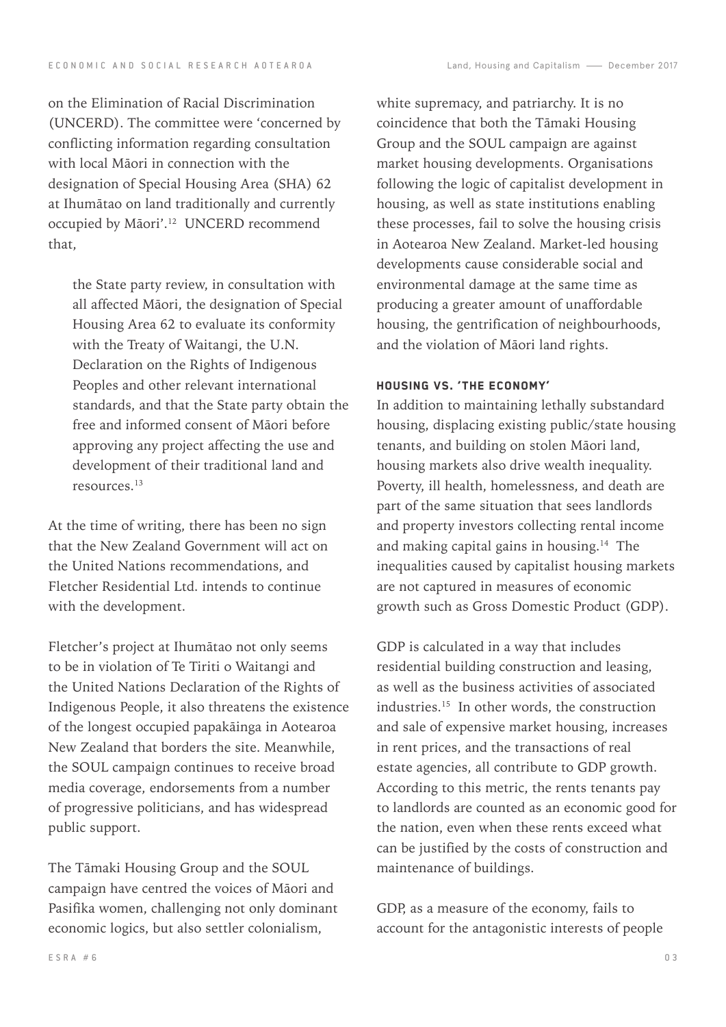on the Elimination of Racial Discrimination (UNCERD). The committee were 'concerned by conflicting information regarding consultation with local Māori in connection with the designation of Special Housing Area (SHA) 62 at Ihumātao on land traditionally and currently occupied by Māori'.12 UNCERD recommend that,

the State party review, in consultation with all affected Māori, the designation of Special Housing Area 62 to evaluate its conformity with the Treaty of Waitangi, the U.N. Declaration on the Rights of Indigenous Peoples and other relevant international standards, and that the State party obtain the free and informed consent of Māori before approving any project affecting the use and development of their traditional land and resources.13

At the time of writing, there has been no sign that the New Zealand Government will act on the United Nations recommendations, and Fletcher Residential Ltd. intends to continue with the development.

Fletcher's project at Ihumātao not only seems to be in violation of Te Tiriti o Waitangi and the United Nations Declaration of the Rights of Indigenous People, it also threatens the existence of the longest occupied papakāinga in Aotearoa New Zealand that borders the site. Meanwhile, the SOUL campaign continues to receive broad media coverage, endorsements from a number of progressive politicians, and has widespread public support.

The Tāmaki Housing Group and the SOUL campaign have centred the voices of Māori and Pasifika women, challenging not only dominant economic logics, but also settler colonialism,

white supremacy, and patriarchy. It is no coincidence that both the Tāmaki Housing Group and the SOUL campaign are against market housing developments. Organisations following the logic of capitalist development in housing, as well as state institutions enabling these processes, fail to solve the housing crisis in Aotearoa New Zealand. Market-led housing developments cause considerable social and environmental damage at the same time as producing a greater amount of unaffordable housing, the gentrification of neighbourhoods, and the violation of Māori land rights.

### Housing vs. 'The Economy'

In addition to maintaining lethally substandard housing, displacing existing public/state housing tenants, and building on stolen Māori land, housing markets also drive wealth inequality. Poverty, ill health, homelessness, and death are part of the same situation that sees landlords and property investors collecting rental income and making capital gains in housing.14 The inequalities caused by capitalist housing markets are not captured in measures of economic growth such as Gross Domestic Product (GDP).

GDP is calculated in a way that includes residential building construction and leasing, as well as the business activities of associated industries.15 In other words, the construction and sale of expensive market housing, increases in rent prices, and the transactions of real estate agencies, all contribute to GDP growth. According to this metric, the rents tenants pay to landlords are counted as an economic good for the nation, even when these rents exceed what can be justified by the costs of construction and maintenance of buildings.

GDP, as a measure of the economy, fails to account for the antagonistic interests of people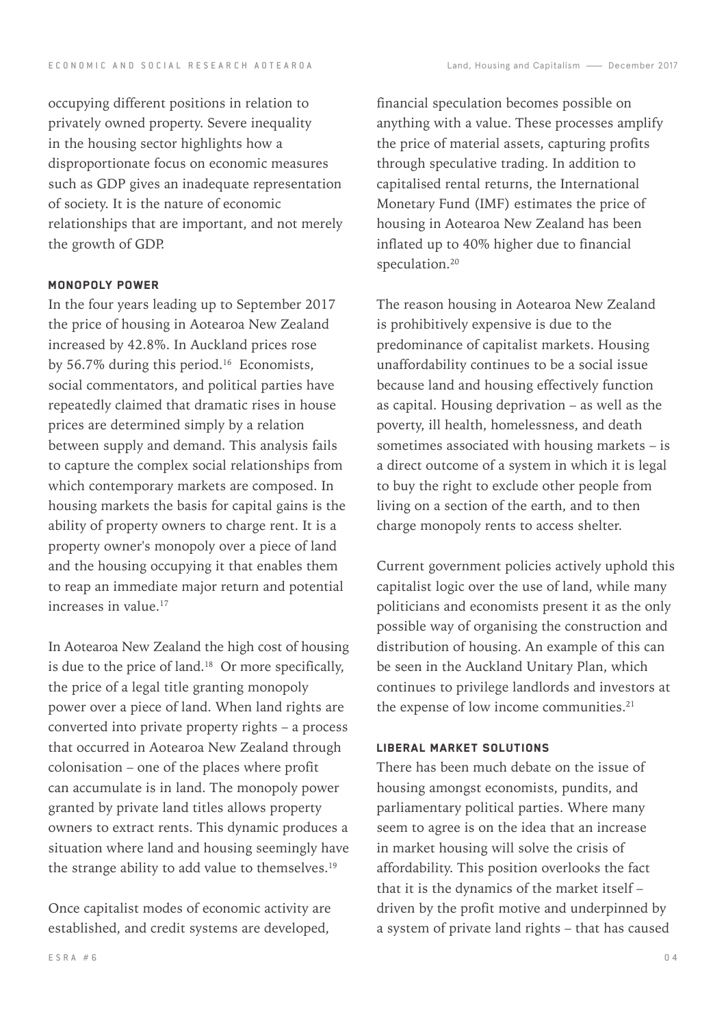occupying different positions in relation to privately owned property. Severe inequality in the housing sector highlights how a disproportionate focus on economic measures such as GDP gives an inadequate representation of society. It is the nature of economic relationships that are important, and not merely the growth of GDP.

#### MONOPOLY POWER

In the four years leading up to September 2017 the price of housing in Aotearoa New Zealand increased by 42.8%. In Auckland prices rose by 56.7% during this period.<sup>16</sup> Economists, social commentators, and political parties have repeatedly claimed that dramatic rises in house prices are determined simply by a relation between supply and demand. This analysis fails to capture the complex social relationships from which contemporary markets are composed. In housing markets the basis for capital gains is the ability of property owners to charge rent. It is a property owner's monopoly over a piece of land and the housing occupying it that enables them to reap an immediate major return and potential increases in value.<sup>17</sup>

In Aotearoa New Zealand the high cost of housing is due to the price of land.18 Or more specifically, the price of a legal title granting monopoly power over a piece of land. When land rights are converted into private property rights – a process that occurred in Aotearoa New Zealand through colonisation – one of the places where profit can accumulate is in land. The monopoly power granted by private land titles allows property owners to extract rents. This dynamic produces a situation where land and housing seemingly have the strange ability to add value to themselves.<sup>19</sup>

Once capitalist modes of economic activity are established, and credit systems are developed,

financial speculation becomes possible on anything with a value. These processes amplify the price of material assets, capturing profits through speculative trading. In addition to capitalised rental returns, the International Monetary Fund (IMF) estimates the price of housing in Aotearoa New Zealand has been inflated up to 40% higher due to financial speculation.<sup>20</sup>

The reason housing in Aotearoa New Zealand is prohibitively expensive is due to the predominance of capitalist markets. Housing unaffordability continues to be a social issue because land and housing effectively function as capital. Housing deprivation – as well as the poverty, ill health, homelessness, and death sometimes associated with housing markets – is a direct outcome of a system in which it is legal to buy the right to exclude other people from living on a section of the earth, and to then charge monopoly rents to access shelter.

Current government policies actively uphold this capitalist logic over the use of land, while many politicians and economists present it as the only possible way of organising the construction and distribution of housing. An example of this can be seen in the Auckland Unitary Plan, which continues to privilege landlords and investors at the expense of low income communities.<sup>21</sup>

#### Liberal Market Solutions

There has been much debate on the issue of housing amongst economists, pundits, and parliamentary political parties. Where many seem to agree is on the idea that an increase in market housing will solve the crisis of affordability. This position overlooks the fact that it is the dynamics of the market itself – driven by the profit motive and underpinned by a system of private land rights – that has caused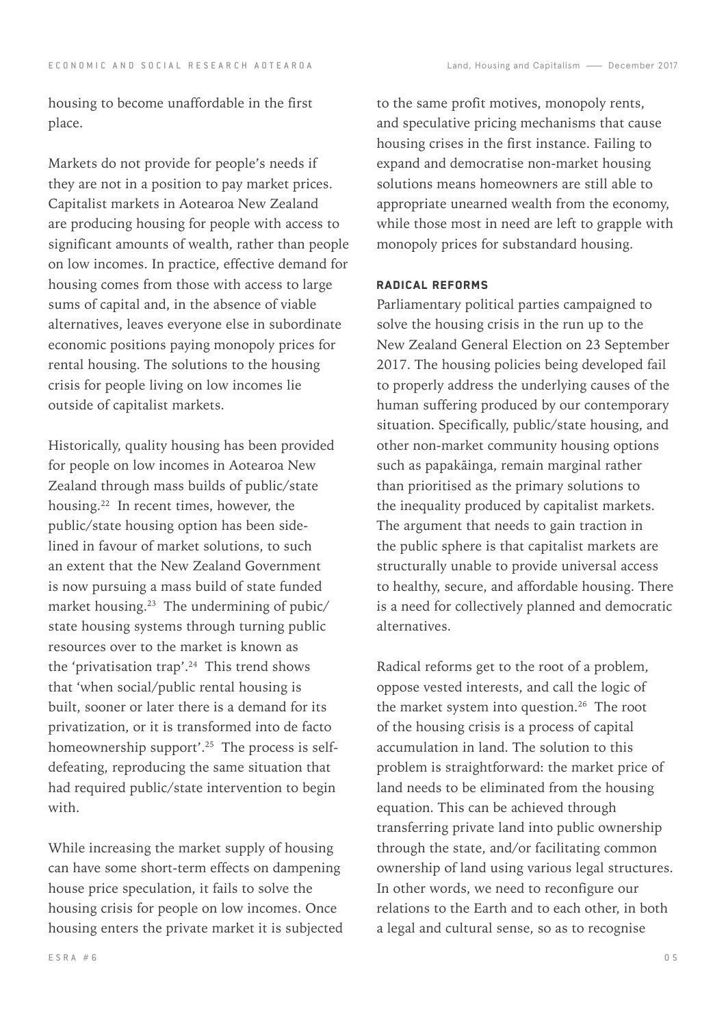housing to become unaffordable in the first place.

Markets do not provide for people's needs if they are not in a position to pay market prices. Capitalist markets in Aotearoa New Zealand are producing housing for people with access to significant amounts of wealth, rather than people on low incomes. In practice, effective demand for housing comes from those with access to large sums of capital and, in the absence of viable alternatives, leaves everyone else in subordinate economic positions paying monopoly prices for rental housing. The solutions to the housing crisis for people living on low incomes lie outside of capitalist markets.

Historically, quality housing has been provided for people on low incomes in Aotearoa New Zealand through mass builds of public/state housing.22 In recent times, however, the public/state housing option has been sidelined in favour of market solutions, to such an extent that the New Zealand Government is now pursuing a mass build of state funded market housing.23 The undermining of pubic/ state housing systems through turning public resources over to the market is known as the 'privatisation trap'.24 This trend shows that 'when social/public rental housing is built, sooner or later there is a demand for its privatization, or it is transformed into de facto homeownership support'.<sup>25</sup> The process is selfdefeating, reproducing the same situation that had required public/state intervention to begin with.

While increasing the market supply of housing can have some short-term effects on dampening house price speculation, it fails to solve the housing crisis for people on low incomes. Once housing enters the private market it is subjected

to the same profit motives, monopoly rents, and speculative pricing mechanisms that cause housing crises in the first instance. Failing to expand and democratise non-market housing solutions means homeowners are still able to appropriate unearned wealth from the economy, while those most in need are left to grapple with monopoly prices for substandard housing.

#### Radical reforms

Parliamentary political parties campaigned to solve the housing crisis in the run up to the New Zealand General Election on 23 September 2017. The housing policies being developed fail to properly address the underlying causes of the human suffering produced by our contemporary situation. Specifically, public/state housing, and other non-market community housing options such as papakāinga, remain marginal rather than prioritised as the primary solutions to the inequality produced by capitalist markets. The argument that needs to gain traction in the public sphere is that capitalist markets are structurally unable to provide universal access to healthy, secure, and affordable housing. There is a need for collectively planned and democratic alternatives.

Radical reforms get to the root of a problem, oppose vested interests, and call the logic of the market system into question.<sup>26</sup> The root of the housing crisis is a process of capital accumulation in land. The solution to this problem is straightforward: the market price of land needs to be eliminated from the housing equation. This can be achieved through transferring private land into public ownership through the state, and/or facilitating common ownership of land using various legal structures. In other words, we need to reconfigure our relations to the Earth and to each other, in both a legal and cultural sense, so as to recognise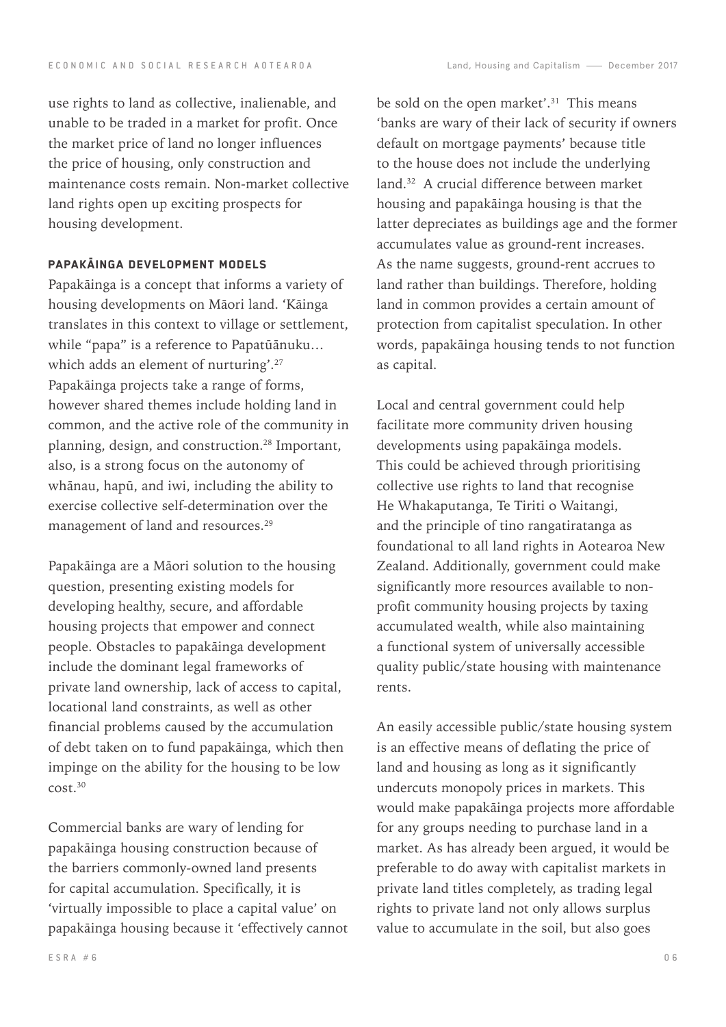use rights to land as collective, inalienable, and unable to be traded in a market for profit. Once the market price of land no longer influences the price of housing, only construction and maintenance costs remain. Non-market collective land rights open up exciting prospects for housing development.

## Papakāinga development models

Papakāinga is a concept that informs a variety of housing developments on Māori land. 'Kāinga translates in this context to village or settlement, while "papa" is a reference to Papatūānuku… which adds an element of nurturing'.<sup>27</sup> Papakāinga projects take a range of forms, however shared themes include holding land in common, and the active role of the community in planning, design, and construction.28 Important, also, is a strong focus on the autonomy of whānau, hapū, and iwi, including the ability to exercise collective self-determination over the management of land and resources.29

Papakāinga are a Māori solution to the housing question, presenting existing models for developing healthy, secure, and affordable housing projects that empower and connect people. Obstacles to papakāinga development include the dominant legal frameworks of private land ownership, lack of access to capital, locational land constraints, as well as other financial problems caused by the accumulation of debt taken on to fund papakāinga, which then impinge on the ability for the housing to be low cost.30

Commercial banks are wary of lending for papakāinga housing construction because of the barriers commonly-owned land presents for capital accumulation. Specifically, it is 'virtually impossible to place a capital value' on papakāinga housing because it 'effectively cannot

be sold on the open market'.<sup>31</sup> This means 'banks are wary of their lack of security if owners default on mortgage payments' because title to the house does not include the underlying land.<sup>32</sup> A crucial difference between market housing and papakāinga housing is that the latter depreciates as buildings age and the former accumulates value as ground-rent increases. As the name suggests, ground-rent accrues to land rather than buildings. Therefore, holding land in common provides a certain amount of protection from capitalist speculation. In other words, papakāinga housing tends to not function as capital.

Local and central government could help facilitate more community driven housing developments using papakāinga models. This could be achieved through prioritising collective use rights to land that recognise He Whakaputanga, Te Tiriti o Waitangi, and the principle of tino rangatiratanga as foundational to all land rights in Aotearoa New Zealand. Additionally, government could make significantly more resources available to nonprofit community housing projects by taxing accumulated wealth, while also maintaining a functional system of universally accessible quality public/state housing with maintenance rents.

An easily accessible public/state housing system is an effective means of deflating the price of land and housing as long as it significantly undercuts monopoly prices in markets. This would make papakāinga projects more affordable for any groups needing to purchase land in a market. As has already been argued, it would be preferable to do away with capitalist markets in private land titles completely, as trading legal rights to private land not only allows surplus value to accumulate in the soil, but also goes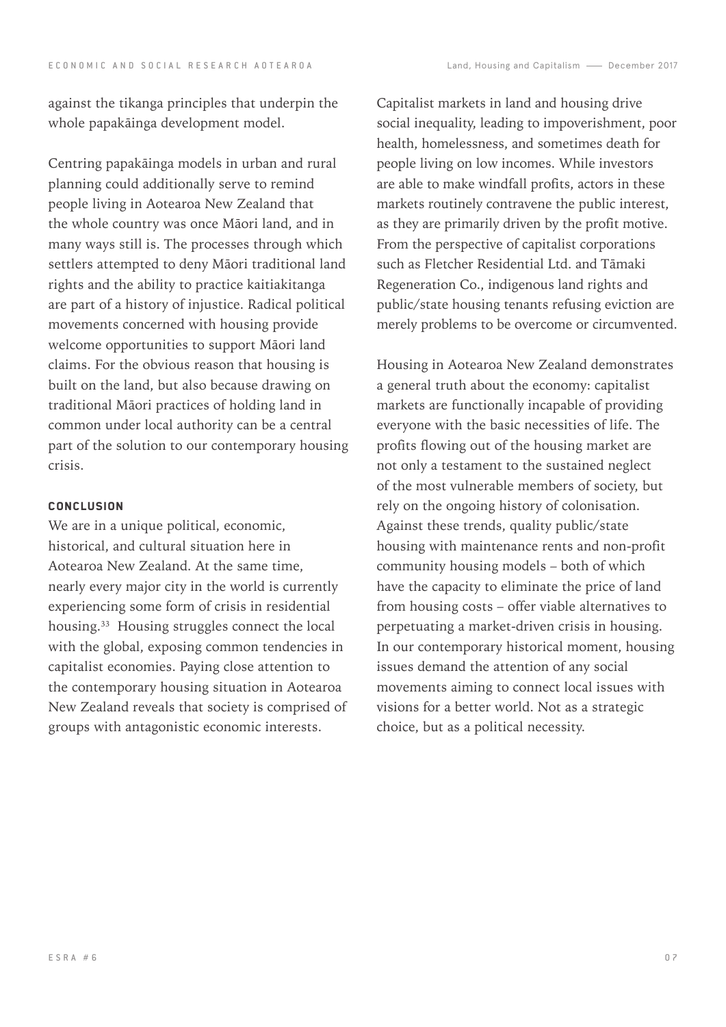against the tikanga principles that underpin the whole papakāinga development model.

Centring papakāinga models in urban and rural planning could additionally serve to remind people living in Aotearoa New Zealand that the whole country was once Māori land, and in many ways still is. The processes through which settlers attempted to deny Māori traditional land rights and the ability to practice kaitiakitanga are part of a history of injustice. Radical political movements concerned with housing provide welcome opportunities to support Māori land claims. For the obvious reason that housing is built on the land, but also because drawing on traditional Māori practices of holding land in common under local authority can be a central part of the solution to our contemporary housing crisis.

#### **CONCLUSION**

We are in a unique political, economic, historical, and cultural situation here in Aotearoa New Zealand. At the same time, nearly every major city in the world is currently experiencing some form of crisis in residential housing.33 Housing struggles connect the local with the global, exposing common tendencies in capitalist economies. Paying close attention to the contemporary housing situation in Aotearoa New Zealand reveals that society is comprised of groups with antagonistic economic interests.

Capitalist markets in land and housing drive social inequality, leading to impoverishment, poor health, homelessness, and sometimes death for people living on low incomes. While investors are able to make windfall profits, actors in these markets routinely contravene the public interest, as they are primarily driven by the profit motive. From the perspective of capitalist corporations such as Fletcher Residential Ltd. and Tāmaki Regeneration Co., indigenous land rights and public/state housing tenants refusing eviction are merely problems to be overcome or circumvented.

Housing in Aotearoa New Zealand demonstrates a general truth about the economy: capitalist markets are functionally incapable of providing everyone with the basic necessities of life. The profits flowing out of the housing market are not only a testament to the sustained neglect of the most vulnerable members of society, but rely on the ongoing history of colonisation. Against these trends, quality public/state housing with maintenance rents and non-profit community housing models – both of which have the capacity to eliminate the price of land from housing costs – offer viable alternatives to perpetuating a market-driven crisis in housing. In our contemporary historical moment, housing issues demand the attention of any social movements aiming to connect local issues with visions for a better world. Not as a strategic choice, but as a political necessity.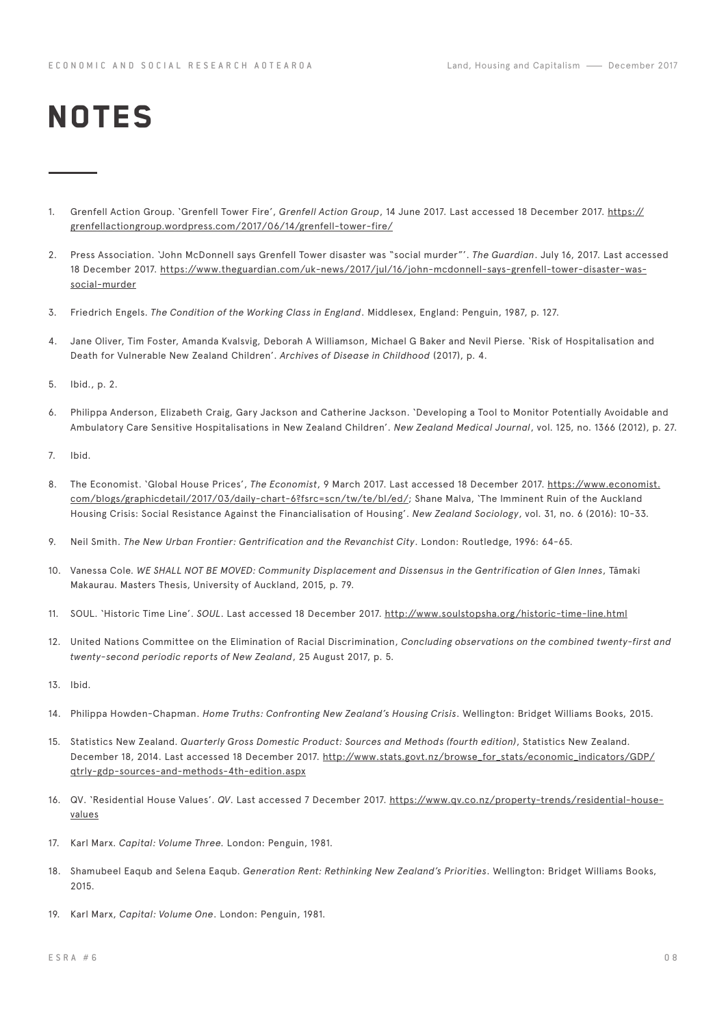# **NOTES**

- 1. Grenfell Action Group. 'Grenfell Tower Fire', *Grenfell Action Group*, 14 June 2017. Last accessed 18 December 2017. [https://](https://grenfellactiongroup.wordpress.com/2017/06/14/grenfell-tower-fire/) [grenfellactiongroup.wordpress.com/2017/06/14/grenfell-tower-fire/](https://grenfellactiongroup.wordpress.com/2017/06/14/grenfell-tower-fire/)
- 2. Press Association. 'John McDonnell says Grenfell Tower disaster was "social murder"'. *The Guardian*. July 16, 2017. Last accessed 18 December 2017. [https://www.theguardian.com/uk-news/2017/jul/16/john-mcdonnell-says-grenfell-tower-disaster-was](https://www.theguardian.com/uk-news/2017/jul/16/john-mcdonnell-says-grenfell-tower-disaster-was-soci)[social-murder](https://www.theguardian.com/uk-news/2017/jul/16/john-mcdonnell-says-grenfell-tower-disaster-was-soci)
- 3. Friedrich Engels. *The Condition of the Working Class in England*. Middlesex, England: Penguin, 1987, p. 127.
- 4. Jane Oliver, Tim Foster, Amanda Kvalsvig, Deborah A Williamson, Michael G Baker and Nevil Pierse. 'Risk of Hospitalisation and Death for Vulnerable New Zealand Children'. *Archives of Disease in Childhood* (2017), p. 4.
- 5. Ibid., p. 2.
- 6. Philippa Anderson, Elizabeth Craig, Gary Jackson and Catherine Jackson. 'Developing a Tool to Monitor Potentially Avoidable and Ambulatory Care Sensitive Hospitalisations in New Zealand Children'. *New Zealand Medical Journal*, vol. 125, no. 1366 (2012), p. 27.
- 7. Ibid.
- 8. The Economist. 'Global House Prices', *The Economist*, 9 March 2017. Last accessed 18 December 2017. [https://www.economist.](https://www.economist.com/blogs/graphicdetail/2017/03/daily-chart-6?fsrc=scn/tw/te/bl/ed/) [com/blogs/graphicdetail/2017/03/daily-chart-6?fsrc=scn/tw/te/bl/ed/](https://www.economist.com/blogs/graphicdetail/2017/03/daily-chart-6?fsrc=scn/tw/te/bl/ed/); Shane Malva, 'The Imminent Ruin of the Auckland Housing Crisis: Social Resistance Against the Financialisation of Housing'. *New Zealand Sociology*, vol. 31, no. 6 (2016): 10-33.
- 9. Neil Smith. *The New Urban Frontier: Gentrification and the Revanchist City*. London: Routledge, 1996: 64-65.
- 10. Vanessa Cole. *WE SHALL NOT BE MOVED: Community Displacement and Dissensus in the Gentrification of Glen Innes*, Tāmaki Makaurau. Masters Thesis, University of Auckland, 2015, p. 79.
- 11. SOUL. 'Historic Time Line'. *SOUL*. Last accessed 18 December 2017. <http://www.soulstopsha.org/historic-time-line.html>
- 12. United Nations Committee on the Elimination of Racial Discrimination, *Concluding observations on the combined twenty-first and twenty-second periodic reports of New Zealand*, 25 August 2017, p. 5.
- 13. Ibid.
- 14. Philippa Howden-Chapman. *Home Truths: Confronting New Zealand's Housing Crisis*. Wellington: Bridget Williams Books, 2015.
- 15. Statistics New Zealand. *Quarterly Gross Domestic Product: Sources and Methods (fourth edition)*, Statistics New Zealand. December 18, 2014. Last accessed 18 December 2017. [http://www.stats.govt.nz/browse\\_for\\_stats/economic\\_indicators/GDP/](http://www.stats.govt.nz/browse_for_stats/economic_indicators/GDP/qtrly-gdp-sources-and-methods-4th-) [qtrly-gdp-sources-and-methods-4th-edition.aspx](http://www.stats.govt.nz/browse_for_stats/economic_indicators/GDP/qtrly-gdp-sources-and-methods-4th-)
- 16. QV. 'Residential House Values'. *QV*. Last accessed 7 December 2017. [https://www.qv.co.nz/property-trends/residential-house](https://www.qv.co.nz/property-trends/residential-house-values)[values](https://www.qv.co.nz/property-trends/residential-house-values)
- 17. Karl Marx. *Capital: Volume Three.* London: Penguin, 1981.
- 18. Shamubeel Eaqub and Selena Eaqub. *Generation Rent: Rethinking New Zealand's Priorities*. Wellington: Bridget Williams Books, 2015.
- 19. Karl Marx, *Capital: Volume One*. London: Penguin, 1981.